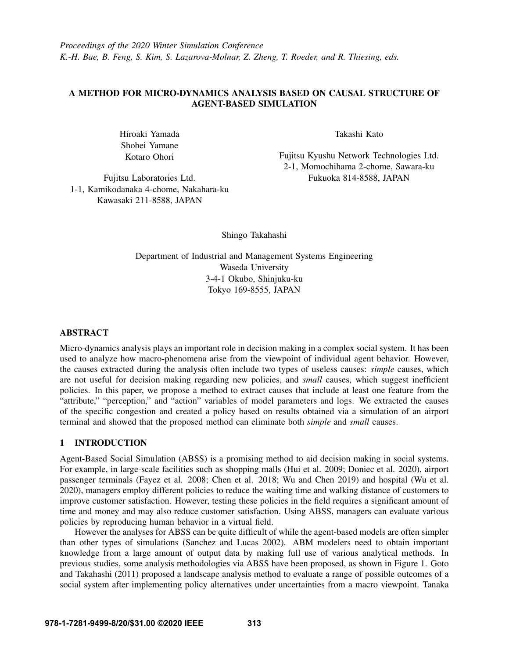*Proceedings of the 2020 Winter Simulation Conference K.-H. Bae, B. Feng, S. Kim, S. Lazarova-Molnar, Z. Zheng, T. Roeder, and R. Thiesing, eds.*

# A METHOD FOR MICRO-DYNAMICS ANALYSIS BASED ON CAUSAL STRUCTURE OF AGENT-BASED SIMULATION

Hiroaki Yamada Shohei Yamane Kotaro Ohori

Takashi Kato

Fujitsu Kyushu Network Technologies Ltd. 2-1, Momochihama 2-chome, Sawara-ku Fukuoka 814-8588, JAPAN

Fujitsu Laboratories Ltd. 1-1, Kamikodanaka 4-chome, Nakahara-ku Kawasaki 211-8588, JAPAN

Shingo Takahashi

Department of Industrial and Management Systems Engineering Waseda University 3-4-1 Okubo, Shinjuku-ku Tokyo 169-8555, JAPAN

## ABSTRACT

Micro-dynamics analysis plays an important role in decision making in a complex social system. It has been used to analyze how macro-phenomena arise from the viewpoint of individual agent behavior. However, the causes extracted during the analysis often include two types of useless causes: *simple* causes, which are not useful for decision making regarding new policies, and *small* causes, which suggest inefficient policies. In this paper, we propose a method to extract causes that include at least one feature from the "attribute," "perception," and "action" variables of model parameters and logs. We extracted the causes of the specific congestion and created a policy based on results obtained via a simulation of an airport terminal and showed that the proposed method can eliminate both *simple* and *small* causes.

# 1 INTRODUCTION

Agent-Based Social Simulation (ABSS) is a promising method to aid decision making in social systems. For example, in large-scale facilities such as shopping malls [\(Hui et al. 2009;](#page-10-0) [Doniec et al. 2020\)](#page-10-1), airport passenger terminals [\(Fayez et al. 2008;](#page-10-2) [Chen et al. 2018;](#page-10-3) [Wu and Chen 2019\)](#page-11-0) and hospital [\(Wu et al.](#page-11-1) [2020\)](#page-11-1), managers employ different policies to reduce the waiting time and walking distance of customers to improve customer satisfaction. However, testing these policies in the field requires a significant amount of time and money and may also reduce customer satisfaction. Using ABSS, managers can evaluate various policies by reproducing human behavior in a virtual field.

However the analyses for ABSS can be quite difficult of while the agent-based models are often simpler than other types of simulations [\(Sanchez and Lucas 2002\)](#page-11-2). ABM modelers need to obtain important knowledge from a large amount of output data by making full use of various analytical methods. In previous studies, some analysis methodologies via ABSS have been proposed, as shown in Figure [1.](#page-1-0) [Goto](#page-10-4) [and Takahashi \(2011\)](#page-10-4) proposed a landscape analysis method to evaluate a range of possible outcomes of a social system after implementing policy alternatives under uncertainties from a macro viewpoint. [Tanaka](#page-11-3)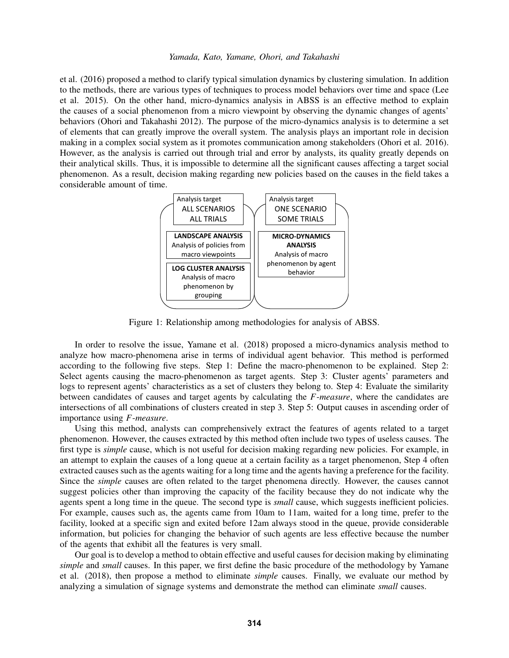[et al. \(2016\)](#page-11-3) proposed a method to clarify typical simulation dynamics by clustering simulation. In addition to the methods, there are various types of techniques to process model behaviors over time and space [\(Lee](#page-10-5) [et al. 2015\)](#page-10-5). On the other hand, micro-dynamics analysis in ABSS is an effective method to explain the causes of a social phenomenon from a micro viewpoint by observing the dynamic changes of agents' behaviors [\(Ohori and Takahashi 2012\)](#page-10-6). The purpose of the micro-dynamics analysis is to determine a set of elements that can greatly improve the overall system. The analysis plays an important role in decision making in a complex social system as it promotes communication among stakeholders [\(Ohori et al. 2016\)](#page-11-4). However, as the analysis is carried out through trial and error by analysts, its quality greatly depends on their analytical skills. Thus, it is impossible to determine all the significant causes affecting a target social phenomenon. As a result, decision making regarding new policies based on the causes in the field takes a considerable amount of time.



<span id="page-1-0"></span>Figure 1: Relationship among methodologies for analysis of ABSS.

In order to resolve the issue, [Yamane et al. \(2018\)](#page-11-5) proposed a micro-dynamics analysis method to analyze how macro-phenomena arise in terms of individual agent behavior. This method is performed according to the following five steps. Step 1: Define the macro-phenomenon to be explained. Step 2: Select agents causing the macro-phenomenon as target agents. Step 3: Cluster agents' parameters and logs to represent agents' characteristics as a set of clusters they belong to. Step 4: Evaluate the similarity between candidates of causes and target agents by calculating the *F*-*measure*, where the candidates are intersections of all combinations of clusters created in step 3. Step 5: Output causes in ascending order of importance using *F*-*measure*.

Using this method, analysts can comprehensively extract the features of agents related to a target phenomenon. However, the causes extracted by this method often include two types of useless causes. The first type is *simple* cause, which is not useful for decision making regarding new policies. For example, in an attempt to explain the causes of a long queue at a certain facility as a target phenomenon, Step 4 often extracted causes such as the agents waiting for a long time and the agents having a preference for the facility. Since the *simple* causes are often related to the target phenomena directly. However, the causes cannot suggest policies other than improving the capacity of the facility because they do not indicate why the agents spent a long time in the queue. The second type is *small* cause, which suggests inefficient policies. For example, causes such as, the agents came from 10am to 11am, waited for a long time, prefer to the facility, looked at a specific sign and exited before 12am always stood in the queue, provide considerable information, but policies for changing the behavior of such agents are less effective because the number of the agents that exhibit all the features is very small.

Our goal is to develop a method to obtain effective and useful causes for decision making by eliminating *simple* and *small* causes. In this paper, we first define the basic procedure of the methodology by [Yamane](#page-11-5) [et al. \(2018\),](#page-11-5) then propose a method to eliminate *simple* causes. Finally, we evaluate our method by analyzing a simulation of signage systems and demonstrate the method can eliminate *small* causes.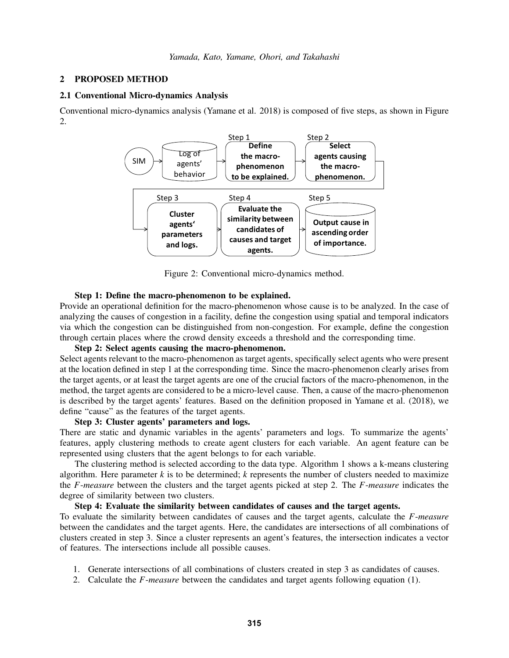### <span id="page-2-2"></span>2 PROPOSED METHOD

# <span id="page-2-1"></span>2.1 Conventional Micro-dynamics Analysis

Conventional micro-dynamics analysis [\(Yamane et al. 2018\)](#page-11-5) is composed of five steps, as shown in Figure [2.](#page-2-0)



<span id="page-2-0"></span>Figure 2: Conventional micro-dynamics method.

#### Step 1: Define the macro-phenomenon to be explained.

Provide an operational definition for the macro-phenomenon whose cause is to be analyzed. In the case of analyzing the causes of congestion in a facility, define the congestion using spatial and temporal indicators via which the congestion can be distinguished from non-congestion. For example, define the congestion through certain places where the crowd density exceeds a threshold and the corresponding time.

# Step 2: Select agents causing the macro-phenomenon.

Select agents relevant to the macro-phenomenon as target agents, specifically select agents who were present at the location defined in step 1 at the corresponding time. Since the macro-phenomenon clearly arises from the target agents, or at least the target agents are one of the crucial factors of the macro-phenomenon, in the method, the target agents are considered to be a micro-level cause. Then, a cause of the macro-phenomenon is described by the target agents' features. Based on the definition proposed in [Yamane et al. \(2018\),](#page-11-5) we define "cause" as the features of the target agents.

# Step 3: Cluster agents' parameters and logs.

There are static and dynamic variables in the agents' parameters and logs. To summarize the agents' features, apply clustering methods to create agent clusters for each variable. An agent feature can be represented using clusters that the agent belongs to for each variable.

The clustering method is selected according to the data type. Algorithm [1](#page-3-0) shows a k-means clustering algorithm. Here parameter *k* is to be determined; *k* represents the number of clusters needed to maximize the *F*-*measure* between the clusters and the target agents picked at step 2. The *F*-*measure* indicates the degree of similarity between two clusters.

# Step 4: Evaluate the similarity between candidates of causes and the target agents.

To evaluate the similarity between candidates of causes and the target agents, calculate the *F*-*measure* between the candidates and the target agents. Here, the candidates are intersections of all combinations of clusters created in step 3. Since a cluster represents an agent's features, the intersection indicates a vector of features. The intersections include all possible causes.

- 1. Generate intersections of all combinations of clusters created in step 3 as candidates of causes.
- 2. Calculate the *F*-*measure* between the candidates and target agents following equation [\(1\)](#page-3-1).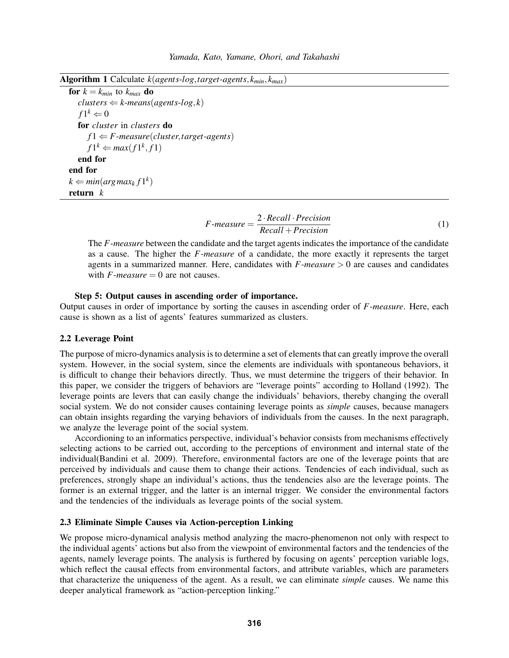<span id="page-3-0"></span>Algorithm 1 Calculate *k*(*agents*-*log*,*target*-*agents*, *kmin*, *kmax*)

```
for k = k_{min} to k_{max} do
   clusters \leftarrow k-means(agents-log, k)f1^k \Leftarrow 0for cluster in clusters do
      f1 \leftarrow F-measure(cluster,target-agents)
       f1^k \leftarrow max(f1^k, f1)end for
end for
k \Leftarrow min(argmax_k f1^k)return k
```
<span id="page-3-1"></span>
$$
F-measure = \frac{2 \cdot Recall \cdot Precision}{Recall + Precision}
$$
 (1)

The *F*-*measure* between the candidate and the target agents indicates the importance of the candidate as a cause. The higher the *F*-*measure* of a candidate, the more exactly it represents the target agents in a summarized manner. Here, candidates with *F*-*measure* > 0 are causes and candidates with  $F$ -*measure* = 0 are not causes.

# Step 5: Output causes in ascending order of importance.

Output causes in order of importance by sorting the causes in ascending order of *F*-*measure*. Here, each cause is shown as a list of agents' features summarized as clusters.

## 2.2 Leverage Point

The purpose of micro-dynamics analysis is to determine a set of elements that can greatly improve the overall system. However, in the social system, since the elements are individuals with spontaneous behaviors, it is difficult to change their behaviors directly. Thus, we must determine the triggers of their behavior. In this paper, we consider the triggers of behaviors are "leverage points" according to [Holland \(1992\).](#page-10-7) The leverage points are levers that can easily change the individuals' behaviors, thereby changing the overall social system. We do not consider causes containing leverage points as *simple* causes, because managers can obtain insights regarding the varying behaviors of individuals from the causes. In the next paragraph, we analyze the leverage point of the social system.

Accordioning to an informatics perspective, individual's behavior consists from mechanisms effectively selecting actions to be carried out, according to the perceptions of environment and internal state of the individual[\(Bandini et al. 2009\)](#page-10-8). Therefore, environmental factors are one of the leverage points that are perceived by individuals and cause them to change their actions. Tendencies of each individual, such as preferences, strongly shape an individual's actions, thus the tendencies also are the leverage points. The former is an external trigger, and the latter is an internal trigger. We consider the environmental factors and the tendencies of the individuals as leverage points of the social system.

## 2.3 Eliminate Simple Causes via Action-perception Linking

We propose micro-dynamical analysis method analyzing the macro-phenomenon not only with respect to the individual agents' actions but also from the viewpoint of environmental factors and the tendencies of the agents, namely leverage points. The analysis is furthered by focusing on agents' perception variable logs, which reflect the causal effects from environmental factors, and attribute variables, which are parameters that characterize the uniqueness of the agent. As a result, we can eliminate *simple* causes. We name this deeper analytical framework as "action-perception linking."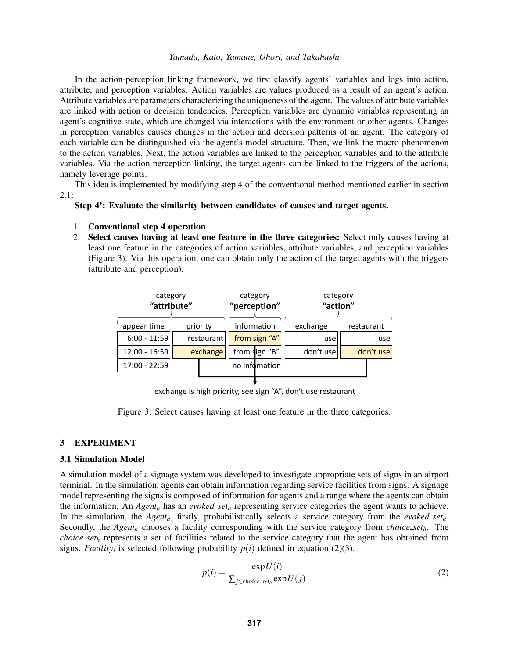In the action-perception linking framework, we first classify agents' variables and logs into action, attribute, and perception variables. Action variables are values produced as a result of an agent's action. Attribute variables are parameters characterizing the uniqueness of the agent. The values of attribute variables are linked with action or decision tendencies. Perception variables are dynamic variables representing an agent's cognitive state, which are changed via interactions with the environment or other agents. Changes in perception variables causes changes in the action and decision patterns of an agent. The category of each variable can be distinguished via the agent's model structure. Then, we link the macro-phenomenon to the action variables. Next, the action variables are linked to the perception variables and to the attribute variables. Via the action-perception linking, the target agents can be linked to the triggers of the actions, namely leverage points.

This idea is implemented by modifying step 4 of the conventional method mentioned earlier in section  $2.1:$ 

# Step 4': Evaluate the similarity between candidates of causes and target agents.

#### 1. Conventional step 4 operation

2. Select causes having at least one feature in the three categories: Select only causes having at least one feature in the categories of action variables, attribute variables, and perception variables (Figure [3\)](#page-4-0). Via this operation, one can obtain only the action of the target agents with the triggers (attribute and perception).

| category<br>"attribute" |            | category<br>"perception" | category<br>"action" |            |  |  |
|-------------------------|------------|--------------------------|----------------------|------------|--|--|
| appear time             | priority   | information              | exchange             | restaurant |  |  |
| $6:00 - 11:59$          | restaurant | from sign "A"            | use                  | use        |  |  |
| 12:00 - 16:59           | exchange   | from sign "B"            | don't use            | don't use  |  |  |
| 17:00 - 22:59           |            | no infomation            |                      |            |  |  |

<span id="page-4-0"></span>exchange is high priority, see sign "A", don't use restaurant

Figure 3: Select causes having at least one feature in the three categories.

### 3 EXPERIMENT

## 3.1 Simulation Model

A simulation model of a signage system was developed to investigate appropriate sets of signs in an airport terminal. In the simulation, agents can obtain information regarding service facilities from signs. A signage model representing the signs is composed of information for agents and a range where the agents can obtain the information. An *Agent<sup>h</sup>* has an *evoked set<sup>h</sup>* representing service categories the agent wants to achieve. In the simulation, the *Agenth*, firstly, probabilistically selects a service category from the *evoked seth*. Secondly, the *Agent<sup>h</sup>* chooses a facility corresponding with the service category from *choice seth*. The *choice set<sup>h</sup>* represents a set of facilities related to the service category that the agent has obtained from signs. *Facility<sub>i</sub>* is selected following probability  $p(i)$  defined in equation [\(2\)](#page-4-1)[\(3\)](#page-5-0).

<span id="page-4-1"></span>
$$
p(i) = \frac{\exp U(i)}{\sum_{j \in choice \, set_h} \exp U(j)}\tag{2}
$$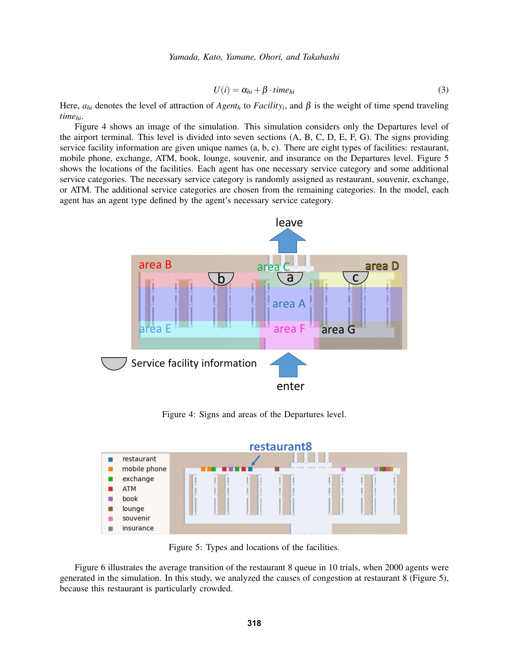<span id="page-5-0"></span>
$$
U(i) = \alpha_{hi} + \beta \cdot time_{hi} \tag{3}
$$

Here,  $a_{hi}$  denotes the level of attraction of  $Agent_h$  to  $Facility_i$ , and  $\beta$  is the weight of time spend traveling *timehi*.

Figure [4](#page-5-1) shows an image of the simulation. This simulation considers only the Departures level of the airport terminal. This level is divided into seven sections (A, B, C, D, E, F, G). The signs providing service facility information are given unique names (a, b, c). There are eight types of facilities: restaurant, mobile phone, exchange, ATM, book, lounge, souvenir, and insurance on the Departures level. Figure [5](#page-5-2) shows the locations of the facilities. Each agent has one necessary service category and some additional service categories. The necessary service category is randomly assigned as restaurant, souvenir, exchange, or ATM. The additional service categories are chosen from the remaining categories. In the model, each agent has an agent type defined by the agent's necessary service category.



<span id="page-5-1"></span>Figure 4: Signs and areas of the Departures level.



<span id="page-5-2"></span>Figure 5: Types and locations of the facilities.

Figure [6](#page-6-0) illustrates the average transition of the restaurant 8 queue in 10 trials, when 2000 agents were generated in the simulation. In this study, we analyzed the causes of congestion at restaurant 8 (Figure [5\)](#page-5-2), because this restaurant is particularly crowded.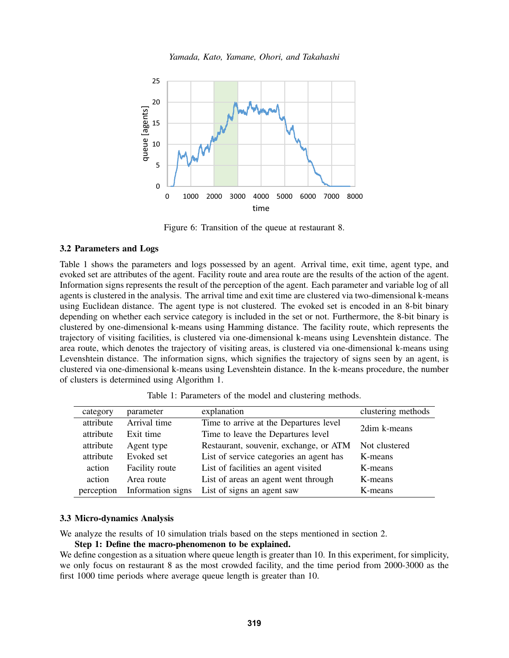

<span id="page-6-0"></span>Figure 6: Transition of the queue at restaurant 8.

# 3.2 Parameters and Logs

Table [1](#page-6-1) shows the parameters and logs possessed by an agent. Arrival time, exit time, agent type, and evoked set are attributes of the agent. Facility route and area route are the results of the action of the agent. Information signs represents the result of the perception of the agent. Each parameter and variable log of all agents is clustered in the analysis. The arrival time and exit time are clustered via two-dimensional k-means using Euclidean distance. The agent type is not clustered. The evoked set is encoded in an 8-bit binary depending on whether each service category is included in the set or not. Furthermore, the 8-bit binary is clustered by one-dimensional k-means using Hamming distance. The facility route, which represents the trajectory of visiting facilities, is clustered via one-dimensional k-means using Levenshtein distance. The area route, which denotes the trajectory of visiting areas, is clustered via one-dimensional k-means using Levenshtein distance. The information signs, which signifies the trajectory of signs seen by an agent, is clustered via one-dimensional k-means using Levenshtein distance. In the k-means procedure, the number of clusters is determined using Algorithm [1.](#page-3-0)

| category   | parameter         | explanation                             | clustering methods |
|------------|-------------------|-----------------------------------------|--------------------|
| attribute  | Arrival time      | Time to arrive at the Departures level  | 2dim k-means       |
| attribute  | Exit time         | Time to leave the Departures level      |                    |
| attribute  | Agent type        | Restaurant, souvenir, exchange, or ATM  | Not clustered      |
| attribute  | Evoked set        | List of service categories an agent has | K-means            |
| action     | Facility route    | List of facilities an agent visited     | K-means            |
| action     | Area route        | List of areas an agent went through     | K-means            |
| perception | Information signs | List of signs an agent saw              | K-means            |

<span id="page-6-1"></span>Table 1: Parameters of the model and clustering methods.

# 3.3 Micro-dynamics Analysis

We analyze the results of 10 simulation trials based on the steps mentioned in section [2.](#page-2-2)

Step 1: Define the macro-phenomenon to be explained.

We define congestion as a situation where queue length is greater than 10. In this experiment, for simplicity, we only focus on restaurant 8 as the most crowded facility, and the time period from 2000-3000 as the first 1000 time periods where average queue length is greater than 10.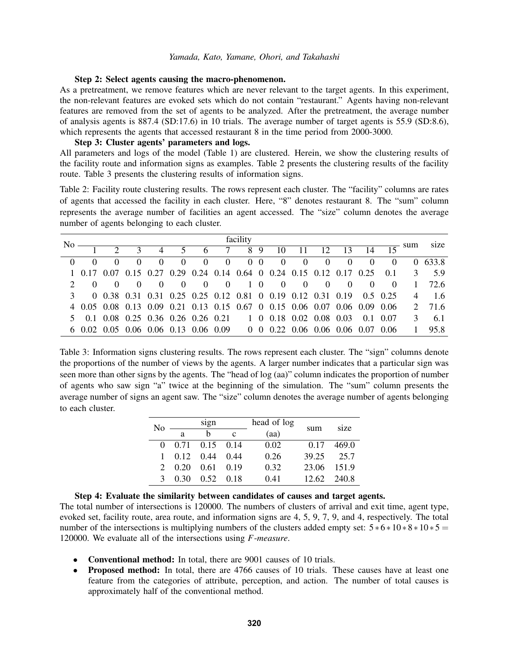#### Step 2: Select agents causing the macro-phenomenon.

As a pretreatment, we remove features which are never relevant to the target agents. In this experiment, the non-relevant features are evoked sets which do not contain "restaurant." Agents having non-relevant features are removed from the set of agents to be analyzed. After the pretreatment, the average number of analysis agents is 887.4 (SD:17.6) in 10 trials. The average number of target agents is 55.9 (SD:8.6), which represents the agents that accessed restaurant 8 in the time period from 2000-3000.

# Step 3: Cluster agents' parameters and logs.

All parameters and logs of the model (Table [1\)](#page-6-1) are clustered. Herein, we show the clustering results of the facility route and information signs as examples. Table [2](#page-7-0) presents the clustering results of the facility route. Table [3](#page-7-1) presents the clustering results of information signs.

<span id="page-7-0"></span>Table 2: Facility route clustering results. The rows represent each cluster. The "facility" columns are rates of agents that accessed the facility in each cluster. Here, "8" denotes restaurant 8. The "sum" column represents the average number of facilities an agent accessed. The "size" column denotes the average number of agents belonging to each cluster.

| No | facility<br>sum |               |          |          |          |  |              |  | size           |                                                                           |          |          |                |                |                |   |                         |
|----|-----------------|---------------|----------|----------|----------|--|--------------|--|----------------|---------------------------------------------------------------------------|----------|----------|----------------|----------------|----------------|---|-------------------------|
|    |                 | $\mathcal{L}$ |          |          |          |  |              |  |                | 4 5 6 7 8 9 10 11 12 13 14                                                |          |          |                |                |                |   |                         |
|    |                 | $\Omega$      | $\Omega$ | $\Omega$ | $\Omega$ |  | $0 \qquad 0$ |  | 0 <sub>0</sub> | $\sim$ 0 $\sim$                                                           | $\Omega$ | $\Omega$ | $\overline{0}$ | $\sim 0$       | $\overline{0}$ |   | 0.633.8                 |
|    |                 |               |          |          |          |  |              |  |                | 1 0.17 0.07 0.15 0.27 0.29 0.24 0.14 0.64 0 0.24 0.15 0.12 0.17 0.25      |          |          |                |                |                |   | $0.1 \quad 3 \quad 5.9$ |
|    |                 |               |          |          | $\Omega$ |  |              |  |                | $0 \t 0 \t 1 \t 0 \t 0 \t 0 \t 0$                                         |          |          | $\theta$       | $\overline{0}$ |                |   | $1 \quad 72.6$          |
|    |                 |               |          |          |          |  |              |  |                | 0 0.38 0.31 0.31 0.25 0.25 0.12 0.81 0 0.19 0.12 0.31 0.19 0.5 0.25       |          |          |                |                |                |   | $4 \t1.6$               |
|    |                 |               |          |          |          |  |              |  |                | 4 0.05 0.08 0.13 0.09 0.21 0.13 0.15 0.67 0 0.15 0.06 0.07 0.06 0.09 0.06 |          |          |                |                |                |   | 2 71.6                  |
|    |                 |               |          |          |          |  |              |  |                | 5 0.1 0.08 0.25 0.36 0.26 0.26 0.21 1 0 0.18 0.02 0.08 0.03 0.1 0.07      |          |          |                |                |                | 3 | 6.1                     |
|    |                 |               |          |          |          |  |              |  |                | 6 0.02 0.05 0.06 0.06 0.13 0.06 0.09 0 0.022 0.06 0.06 0.06 0.07 0.06     |          |          |                |                |                |   | 95.8                    |

<span id="page-7-1"></span>Table 3: Information signs clustering results. The rows represent each cluster. The "sign" columns denote the proportions of the number of views by the agents. A larger number indicates that a particular sign was seen more than other signs by the agents. The "head of log (aa)" column indicates the proportion of number of agents who saw sign "a" twice at the beginning of the simulation. The "sum" column presents the average number of signs an agent saw. The "size" column denotes the average number of agents belonging to each cluster.

| No          |                           | sign               |      | head of log | sum   | size  |  |
|-------------|---------------------------|--------------------|------|-------------|-------|-------|--|
|             | a                         | h                  | c    | (aa)        |       |       |  |
|             |                           | $0$ 0.71 0.15 0.14 |      | 0.02        | 0.17  | 469.0 |  |
|             | $1 \quad 0.12 \quad 0.44$ |                    | 0.44 | 0.26        | 39.25 | 25.7  |  |
| $2^{\circ}$ | 0.20                      | 0.61               | 0.19 | 0.32        | 23.06 | 151.9 |  |
| 3           | 0.30                      | 0.52               | 0.18 | 0.41        | 12.62 | 240.8 |  |

### Step 4: Evaluate the similarity between candidates of causes and target agents.

The total number of intersections is 120000. The numbers of clusters of arrival and exit time, agent type, evoked set, facility route, area route, and information signs are 4, 5, 9, 7, 9, and 4, respectively. The total number of the intersections is multiplying numbers of the clusters added empty set:  $5 * 6 * 10 * 8 * 10 * 5 =$ 120000. We evaluate all of the intersections using *F*-*measure*.

- Conventional method: In total, there are 9001 causes of 10 trials.
- Proposed method: In total, there are 4766 causes of 10 trials. These causes have at least one feature from the categories of attribute, perception, and action. The number of total causes is approximately half of the conventional method.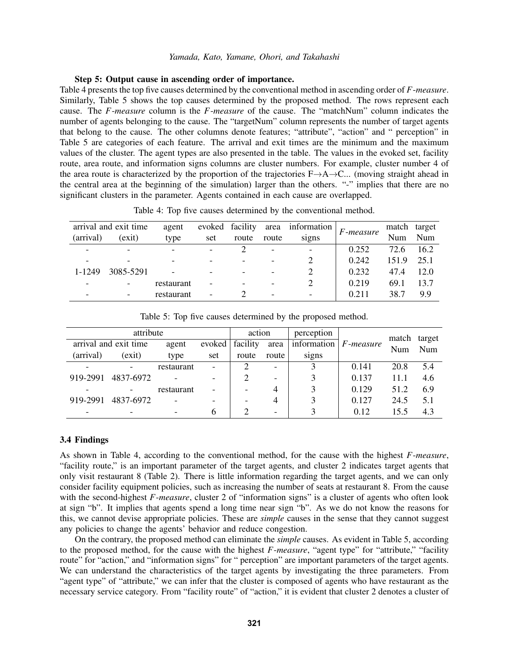### Step 5: Output cause in ascending order of importance.

Table [4](#page-8-0) presents the top five causes determined by the conventional method in ascending order of *F*-*measure*. Similarly, Table [5](#page-8-1) shows the top causes determined by the proposed method. The rows represent each cause. The *F*-*measure* column is the *F*-*measure* of the cause. The "matchNum" column indicates the number of agents belonging to the cause. The "targetNum" column represents the number of target agents that belong to the cause. The other columns denote features; "attribute", "action" and " perception" in Table [5](#page-8-1) are categories of each feature. The arrival and exit times are the minimum and the maximum values of the cluster. The agent types are also presented in the table. The values in the evoked set, facility route, area route, and information signs columns are cluster numbers. For example, cluster number 4 of the area route is characterized by the proportion of the trajectories F→A→C... (moving straight ahead in the central area at the beginning of the simulation) larger than the others. "-" implies that there are no significant clusters in the parameter. Agents contained in each cause are overlapped.

|                          | arrival and exit time | agent                    |                          | evoked facility | area                     | information              | F-measure | match | target |
|--------------------------|-----------------------|--------------------------|--------------------------|-----------------|--------------------------|--------------------------|-----------|-------|--------|
| (arrival)                | (exit)                | type                     | set                      | route           | route                    | signs                    |           | Num   | Num    |
| $\overline{\phantom{0}}$ |                       |                          | $\overline{\phantom{a}}$ |                 | $\overline{\phantom{0}}$ | $\overline{\phantom{0}}$ | 0.252     | 72.6  | 16.2   |
|                          |                       |                          | $\overline{\phantom{0}}$ |                 |                          |                          | 0.242     | 151.9 | 25.1   |
| 1-1249                   | 3085-5291             | $\overline{\phantom{0}}$ | -                        |                 | $\overline{\phantom{a}}$ |                          | 0.232     | 47.4  | 12.0   |
|                          |                       | restaurant               | $\overline{\phantom{0}}$ |                 | $\qquad \qquad$          |                          | 0.219     | 69.1  | 13.7   |
|                          |                       | restaurant               |                          |                 | $\overline{\phantom{a}}$ |                          | 0.211     | 38.7  | 9.9    |
|                          |                       |                          |                          |                 |                          |                          |           |       |        |

<span id="page-8-0"></span>Table 4: Top five causes determined by the conventional method.

<span id="page-8-1"></span>Table 5: Top five causes determined by the proposed method.

| attribute |                       |            | action                   |          | perception               |             | match     | target |     |
|-----------|-----------------------|------------|--------------------------|----------|--------------------------|-------------|-----------|--------|-----|
|           | arrival and exit time | agent      | evoked                   | facility | area                     | information | F-measure | Num    | Num |
| (arrival) | (exit)                | type       | set                      | route    | route                    | signs       |           |        |     |
|           |                       | restaurant | $\blacksquare$           |          | $\overline{\phantom{a}}$ |             | 0.141     | 20.8   | 5.4 |
| 919-2991  | 4837-6972             |            | -                        |          | $\overline{\phantom{a}}$ | 3           | 0.137     | 11.1   | 4.6 |
|           |                       | restaurant | $\overline{\phantom{0}}$ |          | 4                        |             | 0.129     | 51.2   | 6.9 |
| 919-2991  | 4837-6972             |            |                          |          | 4                        |             | 0.127     | 24.5   | 5.1 |
|           |                       |            | 6                        |          | $\overline{\phantom{a}}$ | 2           | 0.12      | 15.5   | 4.3 |

# 3.4 Findings

As shown in Table [4,](#page-8-0) according to the conventional method, for the cause with the highest *F*-*measure*, "facility route," is an important parameter of the target agents, and cluster 2 indicates target agents that only visit restaurant 8 (Table [2\)](#page-7-0). There is little information regarding the target agents, and we can only consider facility equipment policies, such as increasing the number of seats at restaurant 8. From the cause with the second-highest *F-measure*, cluster 2 of "information signs" is a cluster of agents who often look at sign "b". It implies that agents spend a long time near sign "b". As we do not know the reasons for this, we cannot devise appropriate policies. These are *simple* causes in the sense that they cannot suggest any policies to change the agents' behavior and reduce congestion.

On the contrary, the proposed method can eliminate the *simple* causes. As evident in Table [5,](#page-8-1) according to the proposed method, for the cause with the highest *F*-*measure*, "agent type" for "attribute," "facility route" for "action," and "information signs" for " perception" are important parameters of the target agents. We can understand the characteristics of the target agents by investigating the three parameters. From "agent type" of "attribute," we can infer that the cluster is composed of agents who have restaurant as the necessary service category. From "facility route" of "action," it is evident that cluster 2 denotes a cluster of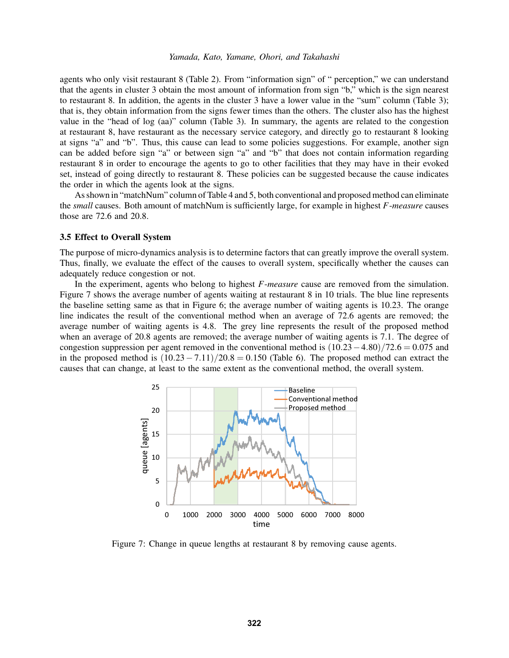agents who only visit restaurant 8 (Table [2\)](#page-7-0). From "information sign" of " perception," we can understand that the agents in cluster 3 obtain the most amount of information from sign "b," which is the sign nearest to restaurant 8. In addition, the agents in the cluster 3 have a lower value in the "sum" column (Table [3\)](#page-7-1); that is, they obtain information from the signs fewer times than the others. The cluster also has the highest value in the "head of log (aa)" column (Table [3\)](#page-7-1). In summary, the agents are related to the congestion at restaurant 8, have restaurant as the necessary service category, and directly go to restaurant 8 looking at signs "a" and "b". Thus, this cause can lead to some policies suggestions. For example, another sign can be added before sign "a" or between sign "a" and "b" that does not contain information regarding restaurant 8 in order to encourage the agents to go to other facilities that they may have in their evoked set, instead of going directly to restaurant 8. These policies can be suggested because the cause indicates the order in which the agents look at the signs.

As shown in "matchNum" column of Table [4](#page-8-0) and [5,](#page-8-1) both conventional and proposed method can eliminate the *small* causes. Both amount of matchNum is sufficiently large, for example in highest *F*-*measure* causes those are 72.6 and 20.8.

### 3.5 Effect to Overall System

The purpose of micro-dynamics analysis is to determine factors that can greatly improve the overall system. Thus, finally, we evaluate the effect of the causes to overall system, specifically whether the causes can adequately reduce congestion or not.

In the experiment, agents who belong to highest *F*-*measure* cause are removed from the simulation. Figure [7](#page-9-0) shows the average number of agents waiting at restaurant 8 in 10 trials. The blue line represents the baseline setting same as that in Figure [6;](#page-6-0) the average number of waiting agents is 10.23. The orange line indicates the result of the conventional method when an average of 72.6 agents are removed; the average number of waiting agents is 4.8. The grey line represents the result of the proposed method when an average of 20.8 agents are removed; the average number of waiting agents is 7.1. The degree of congestion suppression per agent removed in the conventional method is  $(10.23-4.80)/72.6 = 0.075$  and in the proposed method is  $(10.23 - 7.11)/20.8 = 0.150$  (Table [6\)](#page-10-9). The proposed method can extract the causes that can change, at least to the same extent as the conventional method, the overall system.



<span id="page-9-0"></span>Figure 7: Change in queue lengths at restaurant 8 by removing cause agents.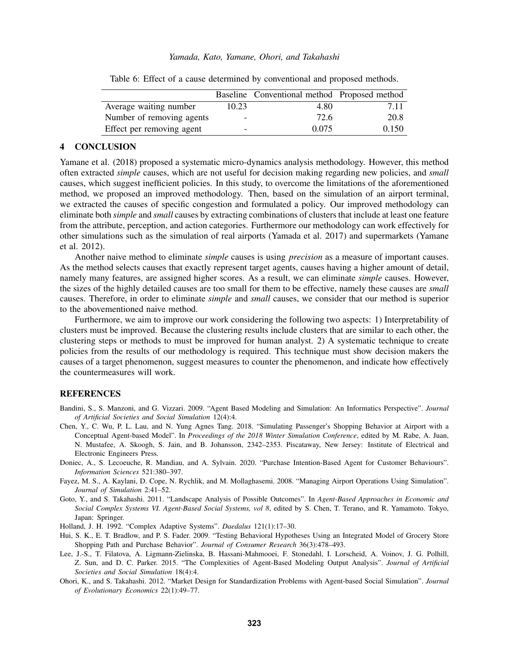|                           |                          | Baseline Conventional method Proposed method |       |
|---------------------------|--------------------------|----------------------------------------------|-------|
| Average waiting number    | 10.23                    | 4.80                                         | 7.11  |
| Number of removing agents | $\overline{\phantom{0}}$ | 72.6                                         | 20.8  |
| Effect per removing agent | -                        | 0.075                                        | 0.150 |

<span id="page-10-9"></span>Table 6: Effect of a cause determined by conventional and proposed methods.

# 4 CONCLUSION

[Yamane et al. \(2018\)](#page-11-5) proposed a systematic micro-dynamics analysis methodology. However, this method often extracted *simple* causes, which are not useful for decision making regarding new policies, and *small* causes, which suggest inefficient policies. In this study, to overcome the limitations of the aforementioned method, we proposed an improved methodology. Then, based on the simulation of an airport terminal, we extracted the causes of specific congestion and formulated a policy. Our improved methodology can eliminate both *simple* and *small* causes by extracting combinations of clusters that include at least one feature from the attribute, perception, and action categories. Furthermore our methodology can work effectively for other simulations such as the simulation of real airports [\(Yamada et al. 2017\)](#page-11-6) and supermarkets [\(Yamane](#page-11-7) [et al. 2012\)](#page-11-7).

Another naive method to eliminate *simple* causes is using *precision* as a measure of important causes. As the method selects causes that exactly represent target agents, causes having a higher amount of detail, namely many features, are assigned higher scores. As a result, we can eliminate *simple* causes. However, the sizes of the highly detailed causes are too small for them to be effective, namely these causes are *small* causes. Therefore, in order to eliminate *simple* and *small* causes, we consider that our method is superior to the abovementioned naive method.

Furthermore, we aim to improve our work considering the following two aspects: 1) Interpretability of clusters must be improved. Because the clustering results include clusters that are similar to each other, the clustering steps or methods to must be improved for human analyst. 2) A systematic technique to create policies from the results of our methodology is required. This technique must show decision makers the causes of a target phenomenon, suggest measures to counter the phenomenon, and indicate how effectively the countermeasures will work.

# **REFERENCES**

- <span id="page-10-8"></span>Bandini, S., S. Manzoni, and G. Vizzari. 2009. "Agent Based Modeling and Simulation: An Informatics Perspective". *Journal of Artificial Societies and Social Simulation* 12(4):4.
- <span id="page-10-3"></span>Chen, Y., C. Wu, P. L. Lau, and N. Yung Agnes Tang. 2018. "Simulating Passenger's Shopping Behavior at Airport with a Conceptual Agent-based Model". In *Proceedings of the 2018 Winter Simulation Conference*, edited by M. Rabe, A. Juan, N. Mustafee, A. Skoogh, S. Jain, and B. Johansson, 2342–2353. Piscataway, New Jersey: Institute of Electrical and Electronic Engineers Press.
- <span id="page-10-1"></span>Doniec, A., S. Lecoeuche, R. Mandiau, and A. Sylvain. 2020. "Purchase Intention-Based Agent for Customer Behaviours". *Information Sciences* 521:380–397.
- <span id="page-10-2"></span>Fayez, M. S., A. Kaylani, D. Cope, N. Rychlik, and M. Mollaghasemi. 2008. "Managing Airport Operations Using Simulation". *Journal of Simulation* 2:41–52.
- <span id="page-10-4"></span>Goto, Y., and S. Takahashi. 2011. "Landscape Analysis of Possible Outcomes". In *Agent-Based Approaches in Economic and Social Complex Systems VI. Agent-Based Social Systems, vol 8*, edited by S. Chen, T. Terano, and R. Yamamoto. Tokyo, Japan: Springer.
- <span id="page-10-7"></span>Holland, J. H. 1992. "Complex Adaptive Systems". *Daedalus* 121(1):17–30.
- <span id="page-10-0"></span>Hui, S. K., E. T. Bradlow, and P. S. Fader. 2009. "Testing Behavioral Hypotheses Using an Integrated Model of Grocery Store Shopping Path and Purchase Behavior". *Journal of Consumer Research* 36(3):478–493.
- <span id="page-10-5"></span>Lee, J.-S., T. Filatova, A. Ligmann-Zielinska, B. Hassani-Mahmooei, F. Stonedahl, I. Lorscheid, A. Voinov, J. G. Polhill, Z. Sun, and D. C. Parker. 2015. "The Complexities of Agent-Based Modeling Output Analysis". *Journal of Artificial Societies and Social Simulation* 18(4):4.
- <span id="page-10-6"></span>Ohori, K., and S. Takahashi. 2012. "Market Design for Standardization Problems with Agent-based Social Simulation". *Journal of Evolutionary Economics* 22(1):49–77.